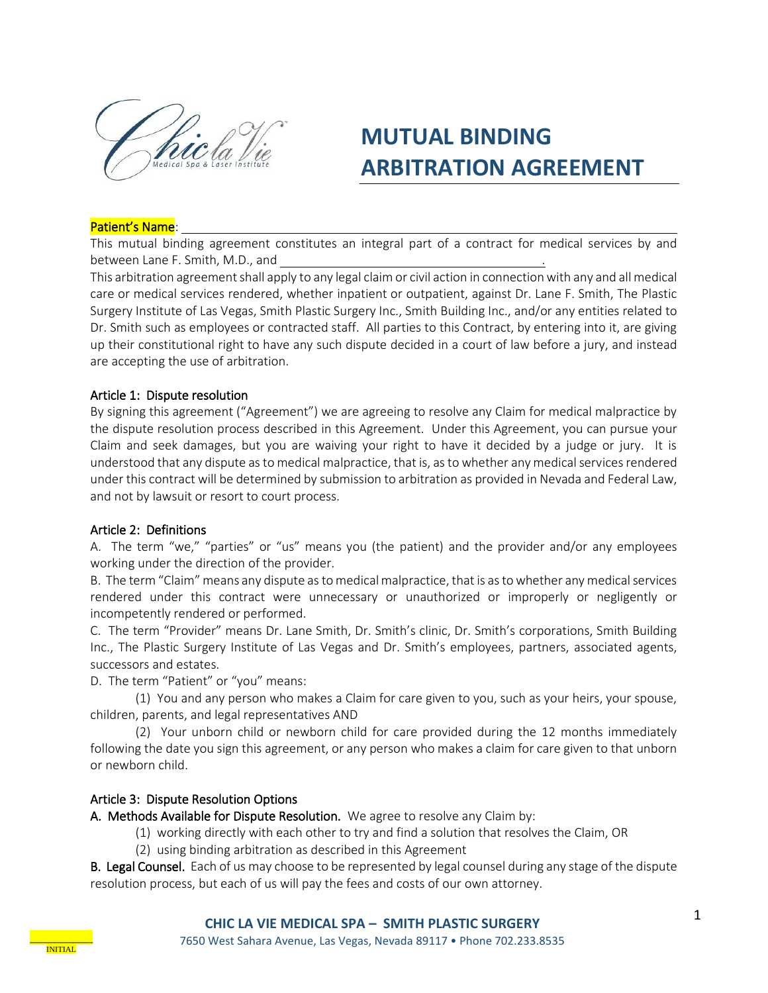

# **MUTUAL BINDING ARBITRATION AGREEMENT**

#### Patient's Name:

This mutual binding agreement constitutes an integral part of a contract for medical services by and between Lane F. Smith, M.D., and .

This arbitration agreement shall apply to any legal claim or civil action in connection with any and all medical care or medical services rendered, whether inpatient or outpatient, against Dr. Lane F. Smith, The Plastic Surgery Institute of Las Vegas, Smith Plastic Surgery Inc., Smith Building Inc., and/or any entities related to Dr. Smith such as employees or contracted staff. All parties to this Contract, by entering into it, are giving up their constitutional right to have any such dispute decided in a court of law before a jury, and instead are accepting the use of arbitration.

### Article 1: Dispute resolution

By signing this agreement ("Agreement") we are agreeing to resolve any Claim for medical malpractice by the dispute resolution process described in this Agreement. Under this Agreement, you can pursue your Claim and seek damages, but you are waiving your right to have it decided by a judge or jury. It is understood that any dispute as to medical malpractice, that is, as to whether any medical services rendered under this contract will be determined by submission to arbitration as provided in Nevada and Federal Law, and not by lawsuit or resort to court process.

### Article 2: Definitions

A. The term "we," "parties" or "us" means you (the patient) and the provider and/or any employees working under the direction of the provider.

B. The term "Claim" means any dispute as to medical malpractice, that is as to whether any medical services rendered under this contract were unnecessary or unauthorized or improperly or negligently or incompetently rendered or performed.

C. The term "Provider" means Dr. Lane Smith, Dr. Smith's clinic, Dr. Smith's corporations, Smith Building Inc., The Plastic Surgery Institute of Las Vegas and Dr. Smith's employees, partners, associated agents, successors and estates.

D. The term "Patient" or "you" means:

(1) You and any person who makes a Claim for care given to you, such as your heirs, your spouse, children, parents, and legal representatives AND

(2) Your unborn child or newborn child for care provided during the 12 months immediately following the date you sign this agreement, or any person who makes a claim for care given to that unborn or newborn child.

### Article 3: Dispute Resolution Options

A. Methods Available for Dispute Resolution. We agree to resolve any Claim by:

- (1) working directly with each other to try and find a solution that resolves the Claim, OR
- (2) using binding arbitration as described in this Agreement

**B. Legal Counsel.** Each of us may choose to be represented by legal counsel during any stage of the dispute resolution process, but each of us will pay the fees and costs of our own attorney.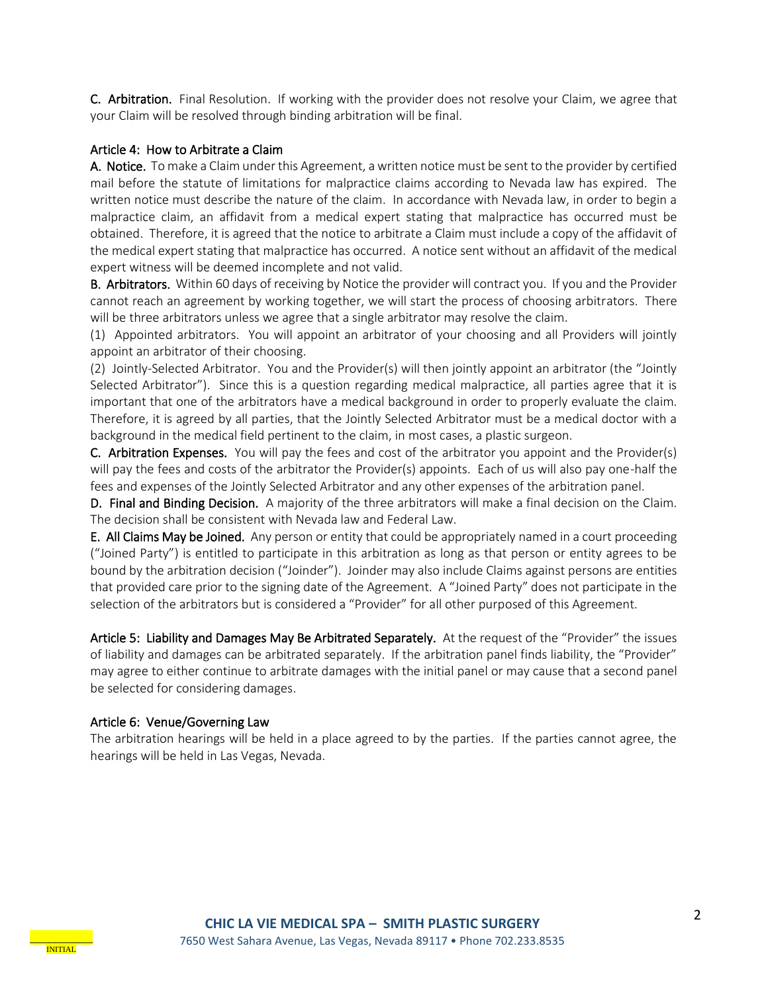C. Arbitration. Final Resolution. If working with the provider does not resolve your Claim, we agree that your Claim will be resolved through binding arbitration will be final.

## Article 4: How to Arbitrate a Claim

A. Notice. To make a Claim under this Agreement, a written notice must be sent to the provider by certified mail before the statute of limitations for malpractice claims according to Nevada law has expired. The written notice must describe the nature of the claim. In accordance with Nevada law, in order to begin a malpractice claim, an affidavit from a medical expert stating that malpractice has occurred must be obtained. Therefore, it is agreed that the notice to arbitrate a Claim must include a copy of the affidavit of the medical expert stating that malpractice has occurred. A notice sent without an affidavit of the medical expert witness will be deemed incomplete and not valid.

B. Arbitrators. Within 60 days of receiving by Notice the provider will contract you. If you and the Provider cannot reach an agreement by working together, we will start the process of choosing arbitrators. There will be three arbitrators unless we agree that a single arbitrator may resolve the claim.

(1) Appointed arbitrators. You will appoint an arbitrator of your choosing and all Providers will jointly appoint an arbitrator of their choosing.

(2) Jointly-Selected Arbitrator. You and the Provider(s) will then jointly appoint an arbitrator (the "Jointly Selected Arbitrator"). Since this is a question regarding medical malpractice, all parties agree that it is important that one of the arbitrators have a medical background in order to properly evaluate the claim. Therefore, it is agreed by all parties, that the Jointly Selected Arbitrator must be a medical doctor with a background in the medical field pertinent to the claim, in most cases, a plastic surgeon.

C. Arbitration Expenses. You will pay the fees and cost of the arbitrator you appoint and the Provider(s) will pay the fees and costs of the arbitrator the Provider(s) appoints. Each of us will also pay one-half the fees and expenses of the Jointly Selected Arbitrator and any other expenses of the arbitration panel.

D. Final and Binding Decision. A majority of the three arbitrators will make a final decision on the Claim. The decision shall be consistent with Nevada law and Federal Law.

E. All Claims May be Joined. Any person or entity that could be appropriately named in a court proceeding ("Joined Party") is entitled to participate in this arbitration as long as that person or entity agrees to be bound by the arbitration decision ("Joinder"). Joinder may also include Claims against persons are entities that provided care prior to the signing date of the Agreement. A "Joined Party" does not participate in the selection of the arbitrators but is considered a "Provider" for all other purposed of this Agreement.

Article 5: Liability and Damages May Be Arbitrated Separately. At the request of the "Provider" the issues of liability and damages can be arbitrated separately. If the arbitration panel finds liability, the "Provider" may agree to either continue to arbitrate damages with the initial panel or may cause that a second panel be selected for considering damages.

### Article 6: Venue/Governing Law

The arbitration hearings will be held in a place agreed to by the parties. If the parties cannot agree, the hearings will be held in Las Vegas, Nevada.